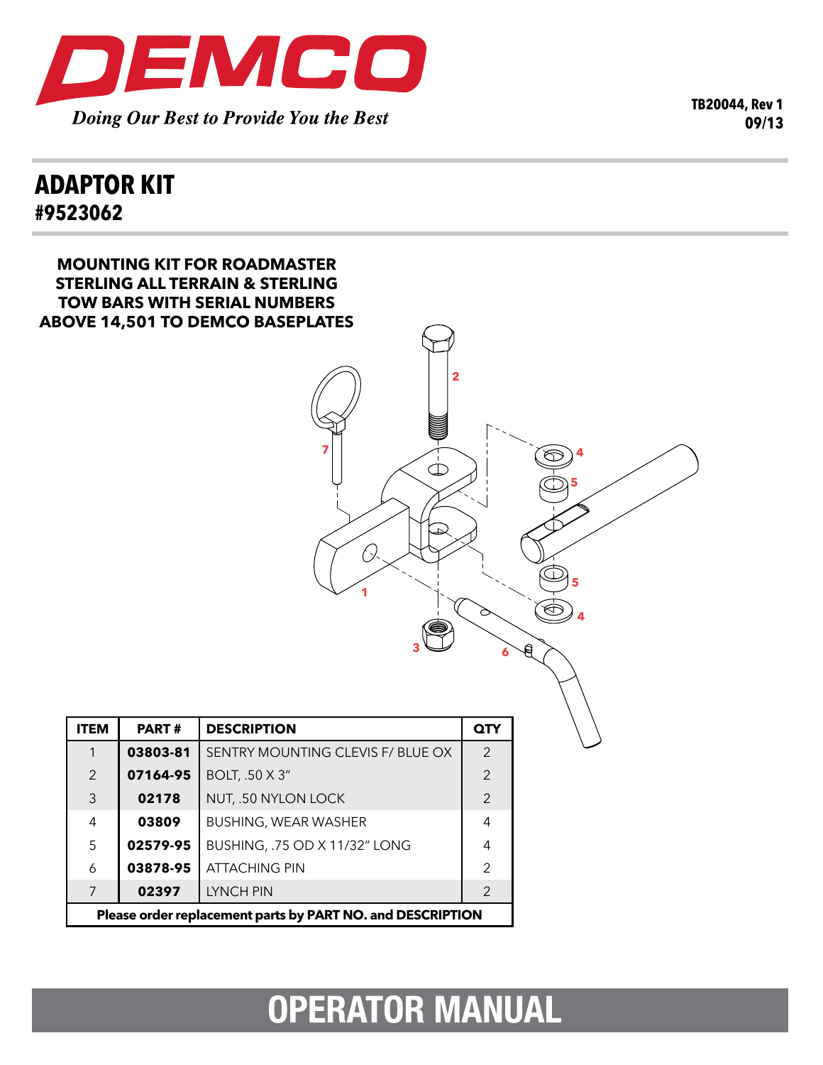

**TB20044, Rev 1 09/13**

## **adaptor kit #9523062**

| <b>MOUNTING KIT FOR ROADMASTER</b><br><b>STERLING ALL TERRAIN &amp; STERLING</b><br><b>TOW BARS WITH SERIAL NUMBERS</b><br><b>ABOVE 14,501 TO DEMCO BASEPLATES</b><br>$\mathbf{2}$<br>À.<br>$\mathbb{C}$<br>$\Rightarrow$<br>Я |              |                                   |                |  |
|--------------------------------------------------------------------------------------------------------------------------------------------------------------------------------------------------------------------------------|--------------|-----------------------------------|----------------|--|
| <b>ITEM</b>                                                                                                                                                                                                                    | <b>PART#</b> | <b>DESCRIPTION</b>                | QTY            |  |
| $\mathbf{1}$                                                                                                                                                                                                                   | 03803-81     | SENTRY MOUNTING CLEVIS F/ BLUE OX | $\overline{2}$ |  |
| $\overline{2}$                                                                                                                                                                                                                 | 07164-95     | BOLT, .50 X 3"                    | $\overline{2}$ |  |
| $\mathsf 3$                                                                                                                                                                                                                    | 02178        | NUT, .50 NYLON LOCK               | $\overline{2}$ |  |
| $\overline{4}$                                                                                                                                                                                                                 | 03809        | BUSHING, WEAR WASHER              | $\overline{4}$ |  |
| 5                                                                                                                                                                                                                              | 02579-95     | BUSHING, .75 OD X 11/32" LONG     | $\overline{4}$ |  |
| 6                                                                                                                                                                                                                              | 03878-95     | <b>ATTACHING PIN</b>              | $\overline{2}$ |  |
| $\overline{7}$                                                                                                                                                                                                                 | 02397        | <b>LYNCH PIN</b>                  | $\overline{2}$ |  |
| Please order replacement parts by PART NO. and DESCRIPTION                                                                                                                                                                     |              |                                   |                |  |

## **OPERATOR MANUAL**